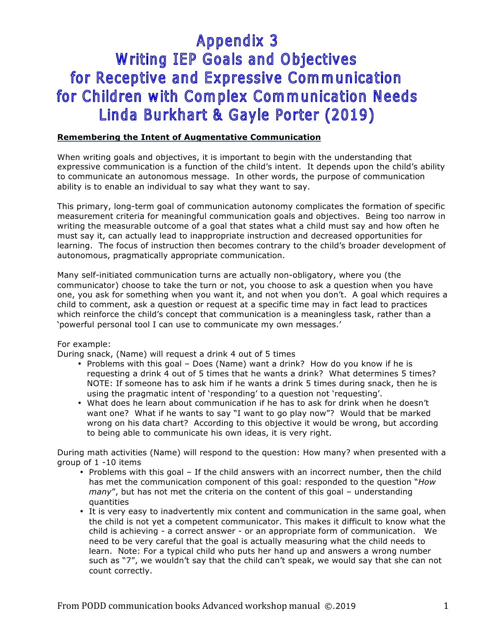# **Appendix 3 Writing IEP Goals and Objectives** for Receptive and Expressive Communication for Children with Complex Communication Needs Linda Burkhart & Gayle Porter (2019)

### **Remembering the Intent of Augmentative Communication**

When writing goals and objectives, it is important to begin with the understanding that expressive communication is a function of the child's intent. It depends upon the child's ability to communicate an autonomous message. In other words, the purpose of communication ability is to enable an individual to say what they want to say.

This primary, long-term goal of communication autonomy complicates the formation of specific measurement criteria for meaningful communication goals and objectives. Being too narrow in writing the measurable outcome of a goal that states what a child must say and how often he must say it, can actually lead to inappropriate instruction and decreased opportunities for learning. The focus of instruction then becomes contrary to the child's broader development of autonomous, pragmatically appropriate communication.

Many self-initiated communication turns are actually non-obligatory, where you (the communicator) choose to take the turn or not, you choose to ask a question when you have one, you ask for something when you want it, and not when you don't. A goal which requires a child to comment, ask a question or request at a specific time may in fact lead to practices which reinforce the child's concept that communication is a meaningless task, rather than a 'powerful personal tool I can use to communicate my own messages.'

### For example:

During snack, (Name) will request a drink 4 out of 5 times

- Problems with this goal Does (Name) want a drink? How do you know if he is requesting a drink 4 out of 5 times that he wants a drink? What determines 5 times? NOTE: If someone has to ask him if he wants a drink 5 times during snack, then he is using the pragmatic intent of 'responding' to a question not 'requesting'.
- What does he learn about communication if he has to ask for drink when he doesn't want one? What if he wants to say "I want to go play now"? Would that be marked wrong on his data chart? According to this objective it would be wrong, but according to being able to communicate his own ideas, it is very right.

During math activities (Name) will respond to the question: How many? when presented with a group of 1 -10 items

- Problems with this goal If the child answers with an incorrect number, then the child has met the communication component of this goal: responded to the question "*How many*", but has not met the criteria on the content of this goal – understanding quantities
- It is very easy to inadvertently mix content and communication in the same goal, when the child is not yet a competent communicator. This makes it difficult to know what the child is achieving - a correct answer - or an appropriate form of communication. We need to be very careful that the goal is actually measuring what the child needs to learn. Note: For a typical child who puts her hand up and answers a wrong number such as "7", we wouldn't say that the child can't speak, we would say that she can not count correctly.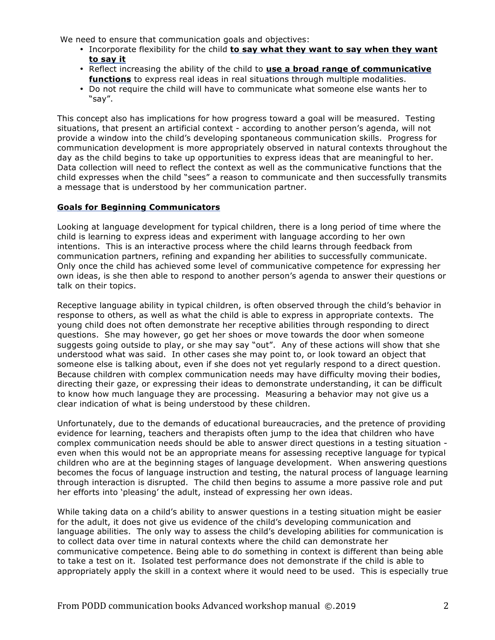We need to ensure that communication goals and objectives:

- Incorporate flexibility for the child **to say what they want to say when they want to say it**
- Reflect increasing the ability of the child to **use a broad range of communicative functions** to express real ideas in real situations through multiple modalities.
- Do not require the child will have to communicate what someone else wants her to "say".

This concept also has implications for how progress toward a goal will be measured. Testing situations, that present an artificial context - according to another person's agenda, will not provide a window into the child's developing spontaneous communication skills. Progress for communication development is more appropriately observed in natural contexts throughout the day as the child begins to take up opportunities to express ideas that are meaningful to her. Data collection will need to reflect the context as well as the communicative functions that the child expresses when the child "sees" a reason to communicate and then successfully transmits a message that is understood by her communication partner.

#### **Goals for Beginning Communicators**

Looking at language development for typical children, there is a long period of time where the child is learning to express ideas and experiment with language according to her own intentions. This is an interactive process where the child learns through feedback from communication partners, refining and expanding her abilities to successfully communicate. Only once the child has achieved some level of communicative competence for expressing her own ideas, is she then able to respond to another person's agenda to answer their questions or talk on their topics.

Receptive language ability in typical children, is often observed through the child's behavior in response to others, as well as what the child is able to express in appropriate contexts. The young child does not often demonstrate her receptive abilities through responding to direct questions. She may however, go get her shoes or move towards the door when someone suggests going outside to play, or she may say "out". Any of these actions will show that she understood what was said. In other cases she may point to, or look toward an object that someone else is talking about, even if she does not yet regularly respond to a direct question. Because children with complex communication needs may have difficulty moving their bodies, directing their gaze, or expressing their ideas to demonstrate understanding, it can be difficult to know how much language they are processing. Measuring a behavior may not give us a clear indication of what is being understood by these children.

Unfortunately, due to the demands of educational bureaucracies, and the pretence of providing evidence for learning, teachers and therapists often jump to the idea that children who have complex communication needs should be able to answer direct questions in a testing situation even when this would not be an appropriate means for assessing receptive language for typical children who are at the beginning stages of language development. When answering questions becomes the focus of language instruction and testing, the natural process of language learning through interaction is disrupted. The child then begins to assume a more passive role and put her efforts into 'pleasing' the adult, instead of expressing her own ideas.

While taking data on a child's ability to answer questions in a testing situation might be easier for the adult, it does not give us evidence of the child's developing communication and language abilities. The only way to assess the child's developing abilities for communication is to collect data over time in natural contexts where the child can demonstrate her communicative competence. Being able to do something in context is different than being able to take a test on it. Isolated test performance does not demonstrate if the child is able to appropriately apply the skill in a context where it would need to be used. This is especially true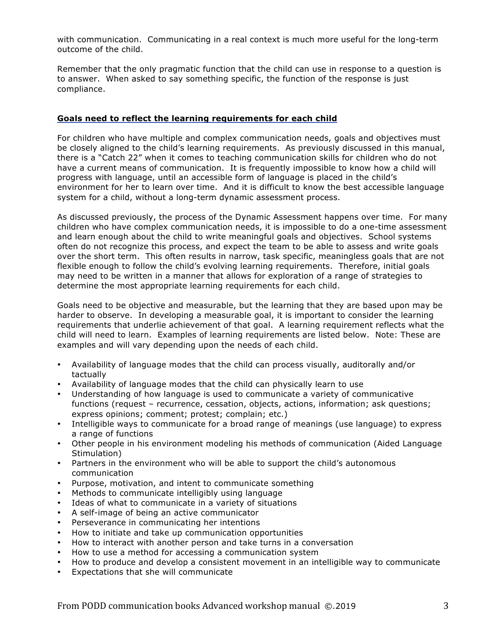with communication. Communicating in a real context is much more useful for the long-term outcome of the child.

Remember that the only pragmatic function that the child can use in response to a question is to answer. When asked to say something specific, the function of the response is just compliance.

### **Goals need to reflect the learning requirements for each child**

For children who have multiple and complex communication needs, goals and objectives must be closely aligned to the child's learning requirements. As previously discussed in this manual, there is a "Catch 22" when it comes to teaching communication skills for children who do not have a current means of communication. It is frequently impossible to know how a child will progress with language, until an accessible form of language is placed in the child's environment for her to learn over time. And it is difficult to know the best accessible language system for a child, without a long-term dynamic assessment process.

As discussed previously, the process of the Dynamic Assessment happens over time. For many children who have complex communication needs, it is impossible to do a one-time assessment and learn enough about the child to write meaningful goals and objectives. School systems often do not recognize this process, and expect the team to be able to assess and write goals over the short term. This often results in narrow, task specific, meaningless goals that are not flexible enough to follow the child's evolving learning requirements. Therefore, initial goals may need to be written in a manner that allows for exploration of a range of strategies to determine the most appropriate learning requirements for each child.

Goals need to be objective and measurable, but the learning that they are based upon may be harder to observe. In developing a measurable goal, it is important to consider the learning requirements that underlie achievement of that goal. A learning requirement reflects what the child will need to learn. Examples of learning requirements are listed below. Note: These are examples and will vary depending upon the needs of each child.

- Availability of language modes that the child can process visually, auditorally and/or tactually
- Availability of language modes that the child can physically learn to use
- Understanding of how language is used to communicate a variety of communicative functions (request – recurrence, cessation, objects, actions, information; ask questions; express opinions; comment; protest; complain; etc.)
- Intelligible ways to communicate for a broad range of meanings (use language) to express a range of functions
- Other people in his environment modeling his methods of communication (Aided Language Stimulation)
- Partners in the environment who will be able to support the child's autonomous communication
- Purpose, motivation, and intent to communicate something
- Methods to communicate intelligibly using language
- Ideas of what to communicate in a variety of situations
- A self-image of being an active communicator
- Perseverance in communicating her intentions
- How to initiate and take up communication opportunities
- How to interact with another person and take turns in a conversation
- How to use a method for accessing a communication system
- How to produce and develop a consistent movement in an intelligible way to communicate
- Expectations that she will communicate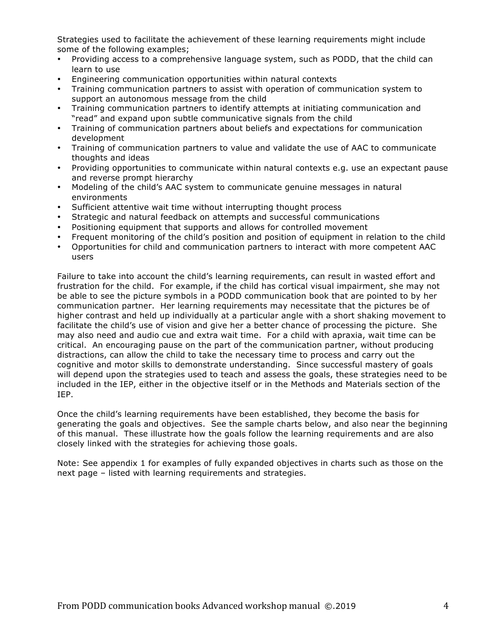Strategies used to facilitate the achievement of these learning requirements might include some of the following examples;

- Providing access to a comprehensive language system, such as PODD, that the child can learn to use
- Engineering communication opportunities within natural contexts
- Training communication partners to assist with operation of communication system to support an autonomous message from the child
- Training communication partners to identify attempts at initiating communication and "read" and expand upon subtle communicative signals from the child
- Training of communication partners about beliefs and expectations for communication development
- Training of communication partners to value and validate the use of AAC to communicate thoughts and ideas
- Providing opportunities to communicate within natural contexts e.g. use an expectant pause and reverse prompt hierarchy
- Modeling of the child's AAC system to communicate genuine messages in natural environments
- Sufficient attentive wait time without interrupting thought process
- Strategic and natural feedback on attempts and successful communications
- Positioning equipment that supports and allows for controlled movement
- Frequent monitoring of the child's position and position of equipment in relation to the child
- Opportunities for child and communication partners to interact with more competent AAC users

Failure to take into account the child's learning requirements, can result in wasted effort and frustration for the child. For example, if the child has cortical visual impairment, she may not be able to see the picture symbols in a PODD communication book that are pointed to by her communication partner. Her learning requirements may necessitate that the pictures be of higher contrast and held up individually at a particular angle with a short shaking movement to facilitate the child's use of vision and give her a better chance of processing the picture. She may also need and audio cue and extra wait time. For a child with apraxia, wait time can be critical. An encouraging pause on the part of the communication partner, without producing distractions, can allow the child to take the necessary time to process and carry out the cognitive and motor skills to demonstrate understanding. Since successful mastery of goals will depend upon the strategies used to teach and assess the goals, these strategies need to be included in the IEP, either in the objective itself or in the Methods and Materials section of the IEP.

Once the child's learning requirements have been established, they become the basis for generating the goals and objectives. See the sample charts below, and also near the beginning of this manual. These illustrate how the goals follow the learning requirements and are also closely linked with the strategies for achieving those goals.

Note: See appendix 1 for examples of fully expanded objectives in charts such as those on the next page – listed with learning requirements and strategies.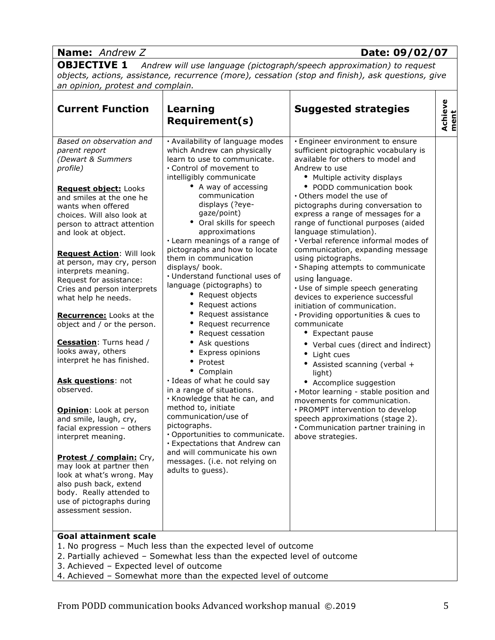| <b>Name:</b> Andrew Z                                                                                                                                                                              |                                                                                                                                                                                     | Date: 09/02/07                                                                                                                                                                                                                           |                 |
|----------------------------------------------------------------------------------------------------------------------------------------------------------------------------------------------------|-------------------------------------------------------------------------------------------------------------------------------------------------------------------------------------|------------------------------------------------------------------------------------------------------------------------------------------------------------------------------------------------------------------------------------------|-----------------|
| <b>OBJECTIVE 1</b><br>an opinion, protest and complain.                                                                                                                                            |                                                                                                                                                                                     | Andrew will use language (pictograph/speech approximation) to request<br>objects, actions, assistance, recurrence (more), cessation (stop and finish), ask questions, give                                                               |                 |
| <b>Current Function</b>                                                                                                                                                                            | Learning<br><b>Requirement(s)</b>                                                                                                                                                   | <b>Suggested strategies</b>                                                                                                                                                                                                              | Achieve<br>ment |
| Based on observation and<br>parent report<br>(Dewart & Summers<br>profile)                                                                                                                         | · Availability of language modes<br>which Andrew can physically<br>learn to use to communicate.<br>• Control of movement to<br>intelligibly communicate                             | · Engineer environment to ensure<br>sufficient pictographic vocabulary is<br>available for others to model and<br>Andrew to use<br>• Multiple activity displays                                                                          |                 |
| Request object: Looks<br>and smiles at the one he<br>wants when offered<br>choices. Will also look at<br>person to attract attention<br>and look at object.                                        | • A way of accessing<br>communication<br>displays (?eye-<br>gaze/point)<br>• Oral skills for speech<br>approximations<br>· Learn meanings of a range of                             | • PODD communication book<br>Others model the use of<br>pictographs during conversation to<br>express a range of messages for a<br>range of functional purposes (aided<br>language stimulation).<br>· Verbal reference informal modes of |                 |
| <b>Request Action: Will look</b><br>at person, may cry, person<br>interprets meaning.<br>Request for assistance:<br>Cries and person interprets<br>what help he needs.                             | pictographs and how to locate<br>them in communication<br>displays/ book.<br>• Understand functional uses of<br>language (pictographs) to<br>• Request objects<br>• Request actions | communication, expanding message<br>using pictographs.<br>· Shaping attempts to communicate<br>using language.<br>· Use of simple speech generating<br>devices to experience successful<br>initiation of communication.                  |                 |
| Recurrence: Looks at the<br>object and / or the person.                                                                                                                                            | • Request assistance<br>• Request recurrence<br>• Request cessation                                                                                                                 | · Providing opportunities & cues to<br>communicate<br><b>Expectant pause</b>                                                                                                                                                             |                 |
| Cessation: Turns head /<br>looks away, others<br>interpret he has finished.                                                                                                                        | • Ask questions<br>Express opinions<br>• Protest                                                                                                                                    | • Verbal cues (direct and Indirect)<br>Light cues<br>• Assisted scanning (verbal +                                                                                                                                                       |                 |
| Ask questions: not<br>observed.                                                                                                                                                                    | • Complain<br>· Ideas of what he could say<br>in a range of situations.<br>· Knowledge that he can, and                                                                             | light)<br>• Accomplice suggestion<br>· Motor learning - stable position and<br>movements for communication.                                                                                                                              |                 |
| <b>Opinion:</b> Look at person<br>and smile, laugh, cry,<br>facial expression - others<br>interpret meaning.                                                                                       | method to, initiate<br>communication/use of<br>pictographs.<br>· Opportunities to communicate.<br>· Expectations that Andrew can                                                    | · PROMPT intervention to develop<br>speech approximations (stage 2).<br>• Communication partner training in<br>above strategies.                                                                                                         |                 |
| <b>Protest / complain:</b> Cry,<br>may look at partner then<br>look at what's wrong. May<br>also push back, extend<br>body. Really attended to<br>use of pictographs during<br>assessment session. | and will communicate his own<br>messages. (i.e. not relying on<br>adults to quess).                                                                                                 |                                                                                                                                                                                                                                          |                 |
| <b>Goal attainment scale</b>                                                                                                                                                                       | 1. No progress - Much less than the expected level of outcome                                                                                                                       |                                                                                                                                                                                                                                          |                 |

- 
- 2. Partially achieved Somewhat less than the expected level of outcome 3. Achieved – Expected level of outcome
- 4. Achieved Somewhat more than the expected level of outcome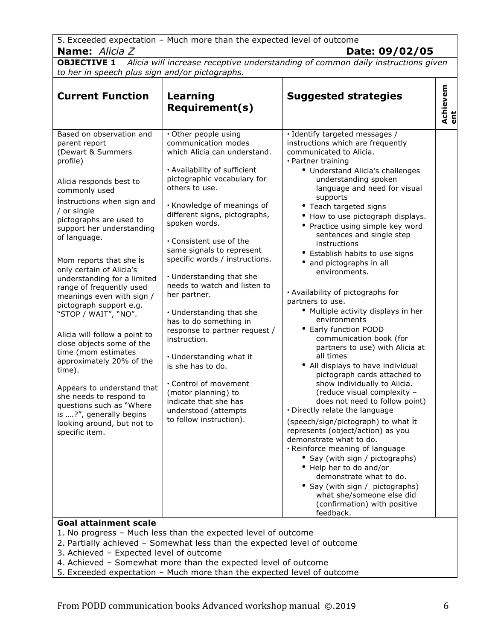| 5. Exceeded expectation - Much more than the expected level of outcome                                                                                                                                                                                                                                                                                                                                                                                                                                                                                                                                                                                                                                                                                                   |                                                                                                                                                                                                                                                                                                                                                                                                                                                                                                                                                                                                                                                                                                       |                                                                                                                                                                                                                                                                                                                                                                                                                                                                                                                                                                                                                                                                                                                                                                                                                                                                                                                                                                                                                                                                                                                                                                                                                                          |                 |
|--------------------------------------------------------------------------------------------------------------------------------------------------------------------------------------------------------------------------------------------------------------------------------------------------------------------------------------------------------------------------------------------------------------------------------------------------------------------------------------------------------------------------------------------------------------------------------------------------------------------------------------------------------------------------------------------------------------------------------------------------------------------------|-------------------------------------------------------------------------------------------------------------------------------------------------------------------------------------------------------------------------------------------------------------------------------------------------------------------------------------------------------------------------------------------------------------------------------------------------------------------------------------------------------------------------------------------------------------------------------------------------------------------------------------------------------------------------------------------------------|------------------------------------------------------------------------------------------------------------------------------------------------------------------------------------------------------------------------------------------------------------------------------------------------------------------------------------------------------------------------------------------------------------------------------------------------------------------------------------------------------------------------------------------------------------------------------------------------------------------------------------------------------------------------------------------------------------------------------------------------------------------------------------------------------------------------------------------------------------------------------------------------------------------------------------------------------------------------------------------------------------------------------------------------------------------------------------------------------------------------------------------------------------------------------------------------------------------------------------------|-----------------|
| <b>Name:</b> Alicia Z                                                                                                                                                                                                                                                                                                                                                                                                                                                                                                                                                                                                                                                                                                                                                    |                                                                                                                                                                                                                                                                                                                                                                                                                                                                                                                                                                                                                                                                                                       | Date: 09/02/05                                                                                                                                                                                                                                                                                                                                                                                                                                                                                                                                                                                                                                                                                                                                                                                                                                                                                                                                                                                                                                                                                                                                                                                                                           |                 |
| <b>OBJECTIVE 1</b>                                                                                                                                                                                                                                                                                                                                                                                                                                                                                                                                                                                                                                                                                                                                                       |                                                                                                                                                                                                                                                                                                                                                                                                                                                                                                                                                                                                                                                                                                       | Alicia will increase receptive understanding of common daily instructions given                                                                                                                                                                                                                                                                                                                                                                                                                                                                                                                                                                                                                                                                                                                                                                                                                                                                                                                                                                                                                                                                                                                                                          |                 |
| to her in speech plus sign and/or pictographs.                                                                                                                                                                                                                                                                                                                                                                                                                                                                                                                                                                                                                                                                                                                           |                                                                                                                                                                                                                                                                                                                                                                                                                                                                                                                                                                                                                                                                                                       |                                                                                                                                                                                                                                                                                                                                                                                                                                                                                                                                                                                                                                                                                                                                                                                                                                                                                                                                                                                                                                                                                                                                                                                                                                          |                 |
| <b>Current Function</b>                                                                                                                                                                                                                                                                                                                                                                                                                                                                                                                                                                                                                                                                                                                                                  | <b>Learning</b><br><b>Requirement(s)</b>                                                                                                                                                                                                                                                                                                                                                                                                                                                                                                                                                                                                                                                              | <b>Suggested strategies</b>                                                                                                                                                                                                                                                                                                                                                                                                                                                                                                                                                                                                                                                                                                                                                                                                                                                                                                                                                                                                                                                                                                                                                                                                              | Achievem<br>ent |
| Based on observation and<br>parent report<br>(Dewart & Summers<br>profile)<br>Alicia responds best to<br>commonly used<br>Instructions when sign and<br>/ or single<br>pictographs are used to<br>support her understanding<br>of language.<br>Mom reports that she is<br>only certain of Alicia's<br>understanding for a limited<br>range of frequently used<br>meanings even with sign /<br>pictograph support e.g.<br>"STOP / WAIT", "NO".<br>Alicia will follow a point to<br>close objects some of the<br>time (mom estimates<br>approximately 20% of the<br>time).<br>Appears to understand that<br>she needs to respond to<br>questions such as "Where<br>is ?", generally begins<br>looking around, but not to<br>specific item.<br><b>Goal attainment scale</b> | · Other people using<br>communication modes<br>which Alicia can understand.<br>· Availability of sufficient<br>pictographic vocabulary for<br>others to use.<br>· Knowledge of meanings of<br>different signs, pictographs,<br>spoken words.<br>. Consistent use of the<br>same signals to represent<br>specific words / instructions.<br>• Understanding that she<br>needs to watch and listen to<br>her partner.<br>• Understanding that she<br>has to do something in<br>response to partner request /<br>instruction.<br>• Understanding what it<br>is she has to do.<br>. Control of movement<br>(motor planning) to<br>indicate that she has<br>understood (attempts<br>to follow instruction). | · Identify targeted messages /<br>instructions which are frequently<br>communicated to Alicia.<br>· Partner training<br>• Understand Alicia's challenges<br>understanding spoken<br>language and need for visual<br>supports<br>• Teach targeted signs<br>• How to use pictograph displays.<br>• Practice using simple key word<br>sentences and single step<br>instructions<br>• Establish habits to use signs<br>• and pictographs in all<br>environments.<br>· Availability of pictographs for<br>partners to use.<br>• Multiple activity displays in her<br>environments<br>• Early function PODD<br>communication book (for<br>partners to use) with Alicia at<br>all times<br>• All displays to have individual<br>pictograph cards attached to<br>show individually to Alicia.<br>(reduce visual complexity -<br>does not need to follow point)<br>. Directly relate the language<br>(speech/sign/pictograph) to what it<br>represents (object/action) as you<br>demonstrate what to do.<br>· Reinforce meaning of language<br>• Say (with sign / pictographs)<br>• Help her to do and/or<br>demonstrate what to do.<br>• Say (with sign / pictographs)<br>what she/someone else did<br>(confirmation) with positive<br>feedback. |                 |

- 1. No progress Much less than the expected level of outcome
- 2. Partially achieved Somewhat less than the expected level of outcome
- 3. Achieved Expected level of outcome
- 4. Achieved Somewhat more than the expected level of outcome
- 5. Exceeded expectation Much more than the expected level of outcome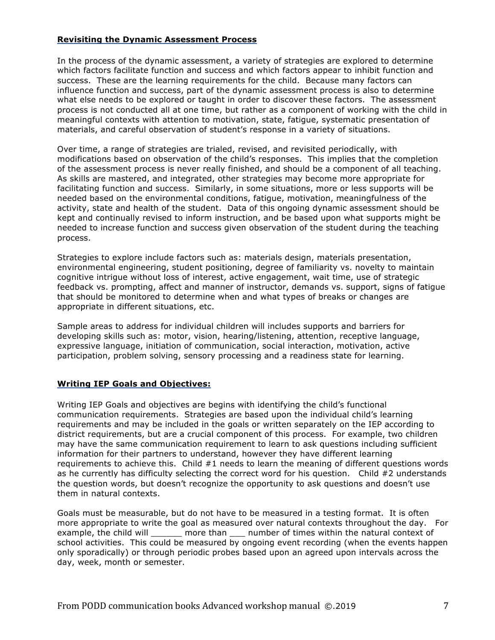### **Revisiting the Dynamic Assessment Process**

In the process of the dynamic assessment, a variety of strategies are explored to determine which factors facilitate function and success and which factors appear to inhibit function and success. These are the learning requirements for the child. Because many factors can influence function and success, part of the dynamic assessment process is also to determine what else needs to be explored or taught in order to discover these factors. The assessment process is not conducted all at one time, but rather as a component of working with the child in meaningful contexts with attention to motivation, state, fatigue, systematic presentation of materials, and careful observation of student's response in a variety of situations.

Over time, a range of strategies are trialed, revised, and revisited periodically, with modifications based on observation of the child's responses. This implies that the completion of the assessment process is never really finished, and should be a component of all teaching. As skills are mastered, and integrated, other strategies may become more appropriate for facilitating function and success. Similarly, in some situations, more or less supports will be needed based on the environmental conditions, fatigue, motivation, meaningfulness of the activity, state and health of the student. Data of this ongoing dynamic assessment should be kept and continually revised to inform instruction, and be based upon what supports might be needed to increase function and success given observation of the student during the teaching process.

Strategies to explore include factors such as: materials design, materials presentation, environmental engineering, student positioning, degree of familiarity vs. novelty to maintain cognitive intrigue without loss of interest, active engagement, wait time, use of strategic feedback vs. prompting, affect and manner of instructor, demands vs. support, signs of fatigue that should be monitored to determine when and what types of breaks or changes are appropriate in different situations, etc.

Sample areas to address for individual children will includes supports and barriers for developing skills such as: motor, vision, hearing/listening, attention, receptive language, expressive language, initiation of communication, social interaction, motivation, active participation, problem solving, sensory processing and a readiness state for learning.

### **Writing IEP Goals and Objectives:**

Writing IEP Goals and objectives are begins with identifying the child's functional communication requirements. Strategies are based upon the individual child's learning requirements and may be included in the goals or written separately on the IEP according to district requirements, but are a crucial component of this process. For example, two children may have the same communication requirement to learn to ask questions including sufficient information for their partners to understand, however they have different learning requirements to achieve this. Child #1 needs to learn the meaning of different questions words as he currently has difficulty selecting the correct word for his question. Child #2 understands the question words, but doesn't recognize the opportunity to ask questions and doesn't use them in natural contexts.

Goals must be measurable, but do not have to be measured in a testing format. It is often more appropriate to write the goal as measured over natural contexts throughout the day. For example, the child will \_\_\_\_\_\_ more than \_\_\_ number of times within the natural context of school activities. This could be measured by ongoing event recording (when the events happen only sporadically) or through periodic probes based upon an agreed upon intervals across the day, week, month or semester.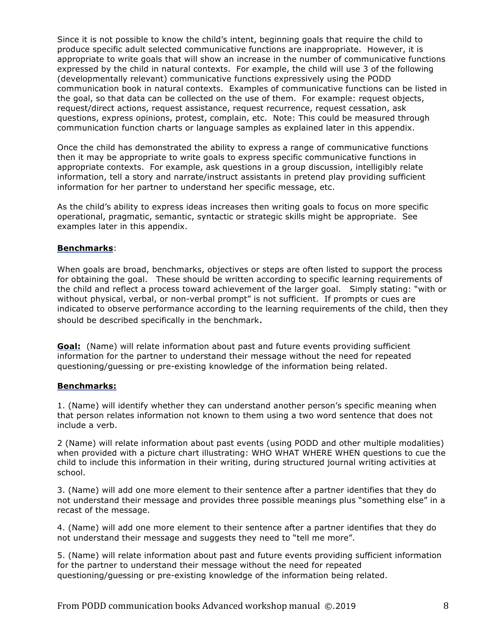Since it is not possible to know the child's intent, beginning goals that require the child to produce specific adult selected communicative functions are inappropriate. However, it is appropriate to write goals that will show an increase in the number of communicative functions expressed by the child in natural contexts. For example, the child will use 3 of the following (developmentally relevant) communicative functions expressively using the PODD communication book in natural contexts. Examples of communicative functions can be listed in the goal, so that data can be collected on the use of them. For example: request objects, request/direct actions, request assistance, request recurrence, request cessation, ask questions, express opinions, protest, complain, etc. Note: This could be measured through communication function charts or language samples as explained later in this appendix.

Once the child has demonstrated the ability to express a range of communicative functions then it may be appropriate to write goals to express specific communicative functions in appropriate contexts. For example, ask questions in a group discussion, intelligibly relate information, tell a story and narrate/instruct assistants in pretend play providing sufficient information for her partner to understand her specific message, etc.

As the child's ability to express ideas increases then writing goals to focus on more specific operational, pragmatic, semantic, syntactic or strategic skills might be appropriate. See examples later in this appendix.

### **Benchmarks**:

When goals are broad, benchmarks, objectives or steps are often listed to support the process for obtaining the goal. These should be written according to specific learning requirements of the child and reflect a process toward achievement of the larger goal. Simply stating: "with or without physical, verbal, or non-verbal prompt" is not sufficient. If prompts or cues are indicated to observe performance according to the learning requirements of the child, then they should be described specifically in the benchmark.

**Goal:** (Name) will relate information about past and future events providing sufficient information for the partner to understand their message without the need for repeated questioning/guessing or pre-existing knowledge of the information being related.

#### **Benchmarks:**

1. (Name) will identify whether they can understand another person's specific meaning when that person relates information not known to them using a two word sentence that does not include a verb.

2 (Name) will relate information about past events (using PODD and other multiple modalities) when provided with a picture chart illustrating: WHO WHAT WHERE WHEN questions to cue the child to include this information in their writing, during structured journal writing activities at school.

3. (Name) will add one more element to their sentence after a partner identifies that they do not understand their message and provides three possible meanings plus "something else" in a recast of the message.

4. (Name) will add one more element to their sentence after a partner identifies that they do not understand their message and suggests they need to "tell me more".

5. (Name) will relate information about past and future events providing sufficient information for the partner to understand their message without the need for repeated questioning/guessing or pre-existing knowledge of the information being related.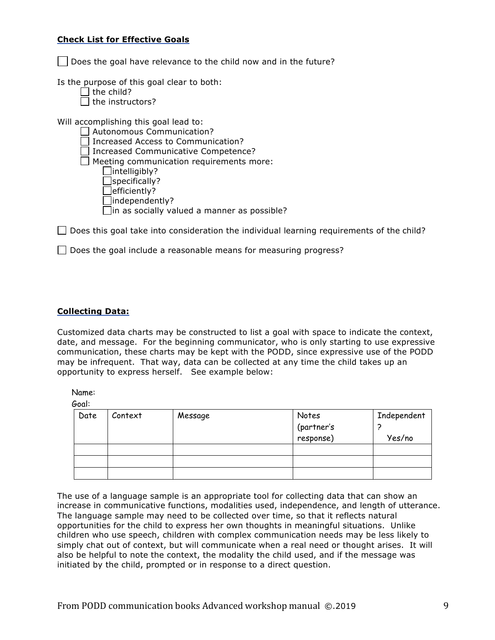### **Check List for Effective Goals**

 $\vert \ \vert$  Does the goal have relevance to the child now and in the future?

Is the purpose of this goal clear to both:

|  | $ $ the child?             |
|--|----------------------------|
|  | $\rfloor$ the instructors? |

Will accomplishing this goal lead to:

 Autonomous Communication?  $\Box$  Increased Access to Communication? □ Increased Communicative Competence?  $\Box$  Meeting communication requirements more:  $\Box$ intelligibly? Specifically?  $\Box$ efficiently?  $\Box$ independently?  $\Box$ in as socially valued a manner as possible?

 $\Box$  Does this goal take into consideration the individual learning requirements of the child?

 $\Box$  Does the goal include a reasonable means for measuring progress?

### **Collecting Data:**

Customized data charts may be constructed to list a goal with space to indicate the context, date, and message. For the beginning communicator, who is only starting to use expressive communication, these charts may be kept with the PODD, since expressive use of the PODD may be infrequent. That way, data can be collected at any time the child takes up an opportunity to express herself. See example below:

Name:

Goal:

| Date | Context | Message | Notes<br>(partner's | Independent |
|------|---------|---------|---------------------|-------------|
|      |         |         |                     |             |
|      |         |         | response)           | Yes/no      |
|      |         |         |                     |             |
|      |         |         |                     |             |
|      |         |         |                     |             |

The use of a language sample is an appropriate tool for collecting data that can show an increase in communicative functions, modalities used, independence, and length of utterance. The language sample may need to be collected over time, so that it reflects natural opportunities for the child to express her own thoughts in meaningful situations. Unlike children who use speech, children with complex communication needs may be less likely to simply chat out of context, but will communicate when a real need or thought arises. It will also be helpful to note the context, the modality the child used, and if the message was initiated by the child, prompted or in response to a direct question.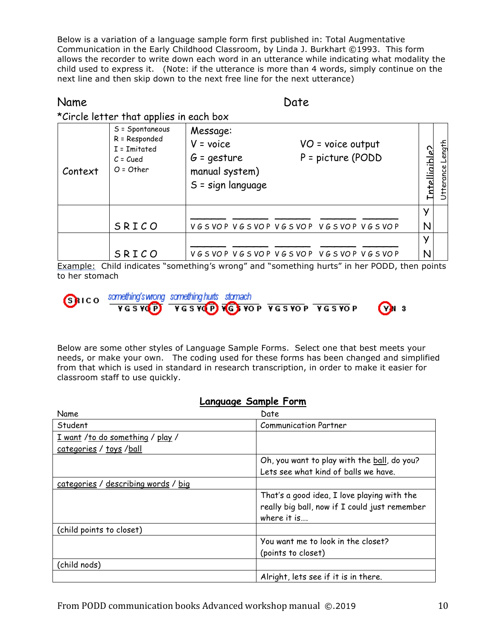Below is a variation of a language sample form first published in: Total Augmentative Communication in the Early Childhood Classroom, by Linda J. Burkhart ©1993. This form allows the recorder to write down each word in an utterance while indicating what modality the child used to express it. (Note: if the utterance is more than 4 words, simply continue on the next line and then skip down to the next free line for the next utterance)

# Name Date Date

|         | *Circle letter that applies in each box                                        |                                                                                                                              |                   |                     |
|---------|--------------------------------------------------------------------------------|------------------------------------------------------------------------------------------------------------------------------|-------------------|---------------------|
| Context | S = Spontaneous<br>R = Responded<br>I = Imitated<br>$C = C$ ued<br>$O = Other$ | Message:<br>$V = voice$<br>VO = voice output<br>P = picture (PODD<br>$G = q$ esture<br>manual system)<br>$S =$ sign language | caldioi<br>Intell | Length<br>Utterance |
|         |                                                                                |                                                                                                                              | У                 |                     |
|         | SRICO                                                                          | VGSVOP VGSVOP VGSVOP VGSVOP VGSVOP                                                                                           | N                 |                     |
|         |                                                                                |                                                                                                                              | У                 |                     |
|         | SRICO                                                                          | VGSVOP VGSVOP VGSVOP VGSVOP VGSVOP                                                                                           | N                 |                     |

Example: Child indicates "something's wrong" and "something hurts" in her PODD, then points to her stomach



| mething'swrong samething.hurts stamach |  |  |
|----------------------------------------|--|--|
| VGSVCP) VGSVCP VGSVOP VGSVOP VGSVOP    |  |  |

Below are some other styles of Language Sample Forms. Select one that best meets your needs, or make your own. The coding used for these forms has been changed and simplified from that which is used in standard in research transcription, in order to make it easier for classroom staff to use quickly.

# **Language Sample Form**

| Name                                | Date                                                                                         |
|-------------------------------------|----------------------------------------------------------------------------------------------|
| Student                             | <b>Communication Partner</b>                                                                 |
| I want /to do something / play /    |                                                                                              |
| categories / toys / ball            |                                                                                              |
|                                     | Oh, you want to play with the ball, do you?                                                  |
|                                     | Lets see what kind of balls we have.                                                         |
| categories / describing words / big |                                                                                              |
|                                     | That's a good idea, I love playing with the<br>really big ball, now if I could just remember |
|                                     | where it is                                                                                  |
| (child points to closet)            |                                                                                              |
|                                     | You want me to look in the closet?                                                           |
|                                     | (points to closet)                                                                           |
| (child nods)                        |                                                                                              |
|                                     | Alright, lets see if it is in there.                                                         |

 $(Y)$  3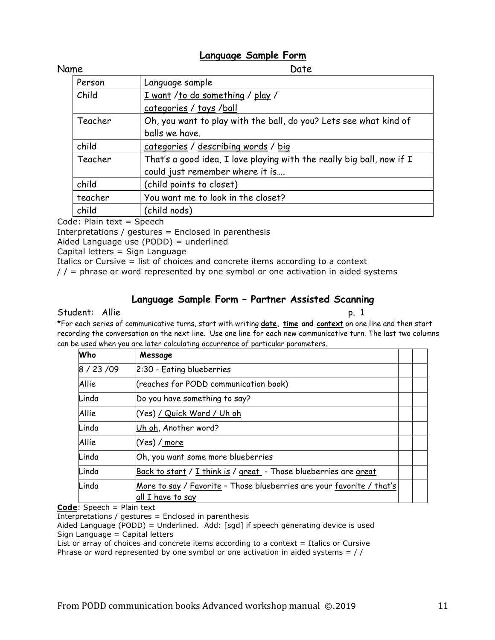# **Language Sample Form**

| Name. |  |  |
|-------|--|--|

| Name    | Date                                                                  |
|---------|-----------------------------------------------------------------------|
| Person  | Language sample                                                       |
| Child   | I want /to do something / play /                                      |
|         | categories / toys /ball                                               |
| Teacher | Oh, you want to play with the ball, do you? Lets see what kind of     |
|         | balls we have.                                                        |
| child   | categories / describing words / big                                   |
| Teacher | That's a good idea, I love playing with the really big ball, now if I |
|         | could just remember where it is                                       |
| child   | (child points to closet)                                              |
| teacher | You want me to look in the closet?                                    |
| child   | (child nods)                                                          |

Code: Plain text = Speech

Interpretations / gestures = Enclosed in parenthesis

Aided Language use (PODD) = underlined

Capital letters = Sign Language

Italics or Cursive = list of choices and concrete items according to a context

 $//$  = phrase or word represented by one symbol or one activation in aided systems

# **Language Sample Form – Partner Assisted Scanning**

## Student: Allie p. 1

\*For each series of communicative turns, start with writing **date, time and context** on one line and then start recording the conversation on the next line. Use one line for each new communicative turn. The last two columns can be used when you are later calculating occurrence of particular parameters.

| Who          | Message                                                                                    |  |
|--------------|--------------------------------------------------------------------------------------------|--|
| 8 / 23 / 09  | 2:30 - Eating blueberries                                                                  |  |
| <b>Allie</b> | (reaches for PODD communication book)                                                      |  |
| Linda        | Do you have something to say?                                                              |  |
| <b>Allie</b> | (Yes) / Quick Word / Uh oh                                                                 |  |
| Linda        | Uh oh, Another word?                                                                       |  |
| <b>Allie</b> | (Yes) / <u>more</u>                                                                        |  |
| Linda        | Oh, you want some more blueberries                                                         |  |
| Linda        | Back to start / I think is / great - Those blueberries are great                           |  |
| Linda        | More to say / Favorite - Those blueberries are your favorite / that's<br>all I have to say |  |

**Code**: Speech = Plain text

 $Interpretations / gets$ 

Aided Language (PODD) = Underlined. Add: [sgd] if speech generating device is used Sign Language = Capital letters

List or array of choices and concrete items according to a context = Italics or Cursive

Phrase or word represented by one symbol or one activation in aided systems  $=$  //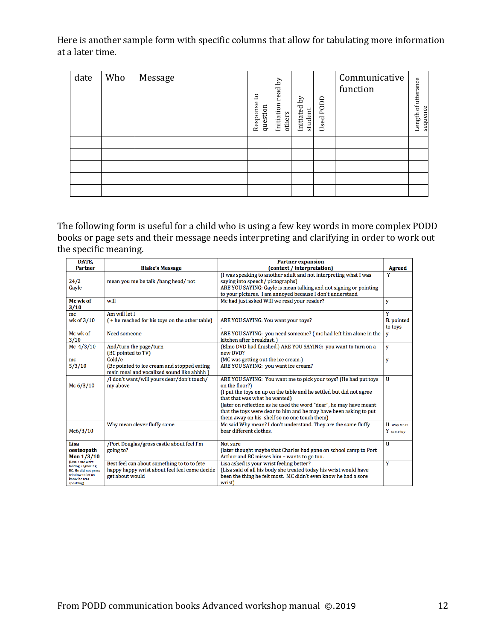Here is another sample form with specific columns that allow for tabulating more information at a later time.

| date | Who | Message | °,<br>Response<br>question | read by<br>Initiation<br>others | Σq<br>Initiated<br>student | Used PODD | Communicative<br>function | of utterance<br>sequence<br>Length |
|------|-----|---------|----------------------------|---------------------------------|----------------------------|-----------|---------------------------|------------------------------------|
|      |     |         |                            |                                 |                            |           |                           |                                    |
|      |     |         |                            |                                 |                            |           |                           |                                    |
|      |     |         |                            |                                 |                            |           |                           |                                    |
|      |     |         |                            |                                 |                            |           |                           |                                    |
|      |     |         |                            |                                 |                            |           |                           |                                    |

The following form is useful for a child who is using a few key words in more complex PODD books or page sets and their message needs interpreting and clarifying in order to work out the specific meaning.

| DATE.                                                                                                                |                                                                                                                 | <b>Partner expansion</b>                                                                                                                                                                                                                                                                                                                                                             |                                   |
|----------------------------------------------------------------------------------------------------------------------|-----------------------------------------------------------------------------------------------------------------|--------------------------------------------------------------------------------------------------------------------------------------------------------------------------------------------------------------------------------------------------------------------------------------------------------------------------------------------------------------------------------------|-----------------------------------|
| <b>Partner</b>                                                                                                       | <b>Blake's Message</b>                                                                                          | (context / interpretation)                                                                                                                                                                                                                                                                                                                                                           | <b>Agreed</b>                     |
| 24/2<br>Gayle                                                                                                        | mean you me be talk /bang head/ not                                                                             | (I was speaking to another adult and not interpreting what I was<br>saying into speech/pictographs)<br>ARE YOU SAYING: Gayle is mean talking and not signing or pointing<br>to your pictures. I am annoyed because I don't understand                                                                                                                                                | Y                                 |
| Mc wk of<br>3/10                                                                                                     | will                                                                                                            | Mc had just asked Will we read your reader?                                                                                                                                                                                                                                                                                                                                          | y                                 |
| mc<br>wk of 3/10                                                                                                     | Am will let I<br>(+ he reached for his toys on the other table)                                                 | ARE YOU SAYING: You want your toys?                                                                                                                                                                                                                                                                                                                                                  | Y<br><b>B.</b> pointed<br>to toys |
| Mc wk of<br>3/10                                                                                                     | Need someone                                                                                                    | ARE YOU SAYING: you need someone? (mc had left him alone in the<br>kitchen after breakfast.)                                                                                                                                                                                                                                                                                         | y                                 |
| Mc $4/3/10$                                                                                                          | And/turn the page/turn<br>(BC pointed to TV)                                                                    | (Elmo DVD had finished.) ARE YOU SAYING: you want to turn on a<br>new DVD?                                                                                                                                                                                                                                                                                                           | y                                 |
| mc<br>5/3/10                                                                                                         | Cold/e<br>(Bc pointed to ice cream and stopped eating<br>main meal and vocalized sound like ahhhh)              | (MC was getting out the ice cream.)<br>ARE YOU SAYING: you want ice cream?                                                                                                                                                                                                                                                                                                           | y                                 |
| Mc 6/3/10                                                                                                            | /I don't want/will yours dear/don't touch/<br>my above                                                          | ARE YOU SAYING: You want me to pick your toys? (He had put toys<br>on the floor?)<br>(I put the toys on up on the table and he settled but did not agree<br>that that was what he wanted)<br>(later on reflection as he used the word "dear", he may have meant<br>that the toys were dear to him and he may have been asking to put<br>them away on his shelf so no one touch them) | $\mathbf{H}$                      |
| Mc6/3/10                                                                                                             | Why mean clever fluffy same                                                                                     | Mc said Why mean? I don't understand. They are the same fluffy<br>bear different clothes.                                                                                                                                                                                                                                                                                            | U Why Mean<br>Y same toy          |
| Lisa<br>oesteopath<br>Mon $1/3/10$                                                                                   | /Port Douglas/gross castle about feel I'm<br>going to?                                                          | Not sure<br>(later thought maybe that Charles had gone on school camp to Port<br>Arthur and BC misses him - wants to go too.                                                                                                                                                                                                                                                         | U                                 |
| (Lisa + mc were<br>talking + ignoring<br><b>BC.</b> He did not press<br>window to let us<br>know he was<br>speaking) | Best feel can about something to to to fete<br>happy happy wrist about feel feel come decide<br>get about would | Lisa asked is your wrist feeling better?<br>(Lisa said of all his body she treated today his wrist would have<br>been the thing he felt most. MC didn't even know he had a sore<br>wrist)                                                                                                                                                                                            | Y                                 |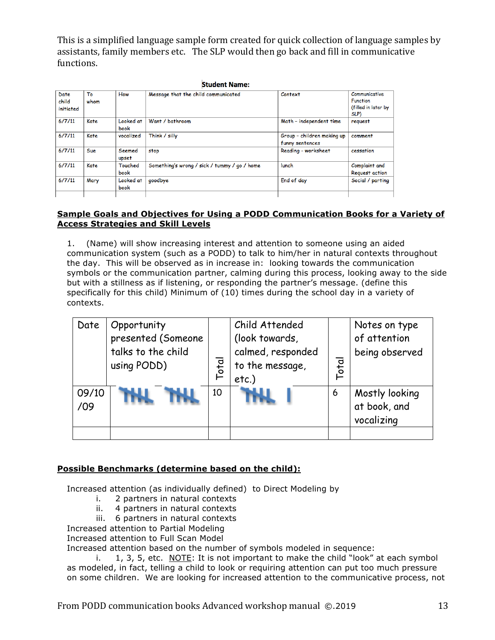This is a simplified language sample form created for quick collection of language samples by assistants, family members etc. The SLP would then go back and fill in communicative functions.

|                            | <b>Student Name:</b> |                        |                                              |                                               |                                                                 |  |
|----------------------------|----------------------|------------------------|----------------------------------------------|-----------------------------------------------|-----------------------------------------------------------------|--|
| Date<br>child<br>initiated | To<br>whom           | How                    | Message that the child communicated          | Context                                       | Communicative<br><b>Function</b><br>(filled in later by<br>SLP) |  |
| 6/7/11                     | Kate                 | Looked at<br>book      | Want / bathroom                              | Math - independent time                       | request                                                         |  |
| 6/7/11                     | Kate                 | vocalized              | Think / silly                                | Group - children making up<br>funny sentences | comment                                                         |  |
| 6/7/11                     | Sue                  | Seemed<br>upset        | stop                                         | Reading - worksheet                           | cessation                                                       |  |
| 6/7/11                     | Kate                 | <b>Touched</b><br>book | Something's wrong / sick / tummy / go / home | lunch                                         | Complaint and<br><b>Request action</b>                          |  |
| 6/7/11                     | Mary                 | Looked at<br>book      | goodbye                                      | End of day                                    | Social / parting                                                |  |

### **Sample Goals and Objectives for Using a PODD Communication Books for a Variety of Access Strategies and Skill Levels**

1. (Name) will show increasing interest and attention to someone using an aided communication system (such as a PODD) to talk to him/her in natural contexts throughout the day. This will be observed as in increase in: looking towards the communication symbols or the communication partner, calming during this process, looking away to the side but with a stillness as if listening, or responding the partner's message. (define this specifically for this child) Minimum of (10) times during the school day in a variety of contexts.

| Date         | Opportunity<br>presented (Someone<br>talks to the child<br>using PODD) | Total | Child Attended<br>(look towards,<br>calmed, responded<br>to the message,<br>$etc.$ ) | $\overline{\mathsf{b}^{\mathsf{t}}\mathsf{c}}$ | Notes on type<br>of attention<br>being observed |
|--------------|------------------------------------------------------------------------|-------|--------------------------------------------------------------------------------------|------------------------------------------------|-------------------------------------------------|
| 09/10<br>/09 |                                                                        | 10    |                                                                                      | 6                                              | Mostly looking<br>at book, and<br>vocalizing    |

# **Possible Benchmarks (determine based on the child):**

Increased attention (as individually defined) to Direct Modeling by

- i. 2 partners in natural contexts
- ii. 4 partners in natural contexts
- iii. 6 partners in natural contexts

Increased attention to Partial Modeling

Increased attention to Full Scan Model

Increased attention based on the number of symbols modeled in sequence:

i. 1, 3, 5, etc. NOTE: It is not important to make the child "look" at each symbol as modeled, in fact, telling a child to look or requiring attention can put too much pressure on some children. We are looking for increased attention to the communicative process, not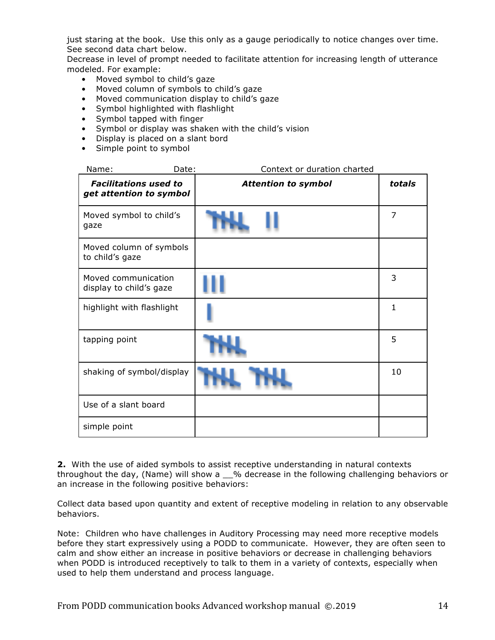just staring at the book. Use this only as a gauge periodically to notice changes over time. See second data chart below.

Decrease in level of prompt needed to facilitate attention for increasing length of utterance modeled. For example:

- Moved symbol to child's gaze
- Moved column of symbols to child's gaze
- Moved communication display to child's gaze
- Symbol highlighted with flashlight
- Symbol tapped with finger
- Symbol or display was shaken with the child's vision
- Display is placed on a slant bord
- Simple point to symbol

| Name:<br>Date:                                          | Context or duration charted |                |
|---------------------------------------------------------|-----------------------------|----------------|
| <b>Facilitations used to</b><br>get attention to symbol | <b>Attention to symbol</b>  | totals         |
| Moved symbol to child's<br>gaze                         |                             | $\overline{7}$ |
| Moved column of symbols<br>to child's gaze              |                             |                |
| Moved communication<br>display to child's gaze          |                             | 3              |
| highlight with flashlight                               |                             | $\mathbf{1}$   |
| tapping point                                           |                             | 5              |
| shaking of symbol/display                               |                             | 10             |
| Use of a slant board                                    |                             |                |
| simple point                                            |                             |                |

**2.** With the use of aided symbols to assist receptive understanding in natural contexts throughout the day, (Name) will show a \_\_% decrease in the following challenging behaviors or an increase in the following positive behaviors:

Collect data based upon quantity and extent of receptive modeling in relation to any observable behaviors.

Note: Children who have challenges in Auditory Processing may need more receptive models before they start expressively using a PODD to communicate. However, they are often seen to calm and show either an increase in positive behaviors or decrease in challenging behaviors when PODD is introduced receptively to talk to them in a variety of contexts, especially when used to help them understand and process language.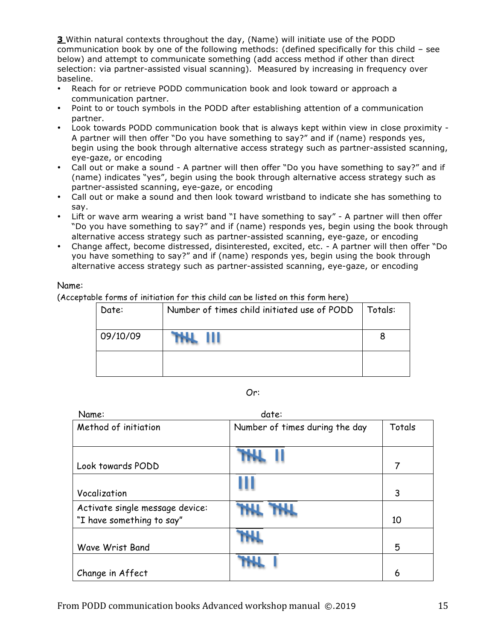**3** Within natural contexts throughout the day, (Name) will initiate use of the PODD communication book by one of the following methods: (defined specifically for this child – see below) and attempt to communicate something (add access method if other than direct selection: via partner-assisted visual scanning). Measured by increasing in frequency over baseline.

- Reach for or retrieve PODD communication book and look toward or approach a communication partner.
- Point to or touch symbols in the PODD after establishing attention of a communication partner.
- Look towards PODD communication book that is always kept within view in close proximity A partner will then offer "Do you have something to say?" and if (name) responds yes, begin using the book through alternative access strategy such as partner-assisted scanning, eye-gaze, or encoding
- Call out or make a sound A partner will then offer "Do you have something to say?" and if (name) indicates "yes", begin using the book through alternative access strategy such as partner-assisted scanning, eye-gaze, or encoding
- Call out or make a sound and then look toward wristband to indicate she has something to say.
- Lift or wave arm wearing a wrist band "I have something to say" A partner will then offer "Do you have something to say?" and if (name) responds yes, begin using the book through alternative access strategy such as partner-assisted scanning, eye-gaze, or encoding
- Change affect, become distressed, disinterested, excited, etc. A partner will then offer "Do you have something to say?" and if (name) responds yes, begin using the book through alternative access strategy such as partner-assisted scanning, eye-gaze, or encoding

### Name:

(Acceptable forms of initiation for this child can be listed on this form here)

| Date:    | Number of times child initiated use of PODD | Totals: |
|----------|---------------------------------------------|---------|
| 09/10/09 |                                             | 8       |
|          |                                             |         |

### Or:

| Name:                                                        | date:                          |        |
|--------------------------------------------------------------|--------------------------------|--------|
| Method of initiation                                         | Number of times during the day | Totals |
| Look towards PODD                                            |                                | 7      |
| Vocalization                                                 |                                | 3      |
| Activate single message device:<br>"I have something to say" |                                | 10     |
| <b>Wave Wrist Band</b>                                       |                                | 5      |
| Change in Affect                                             |                                | 6      |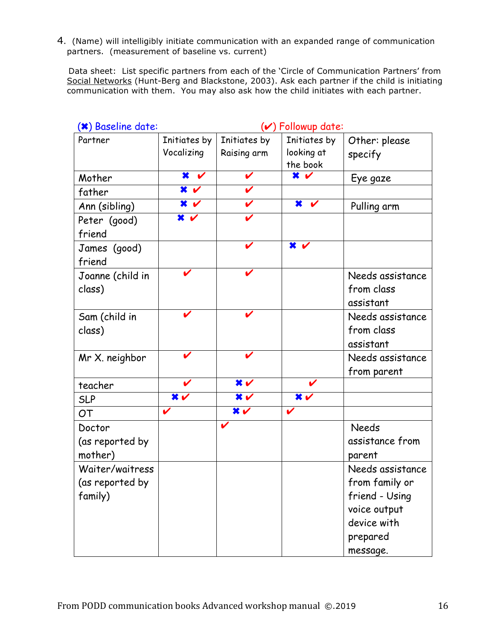4. (Name) will intelligibly initiate communication with an expanded range of communication partners. (measurement of baseline vs. current)

 Data sheet: List specific partners from each of the 'Circle of Communication Partners' from Social Networks (Hunt-Berg and Blackstone, 2003). Ask each partner if the child is initiating communication with them. You may also ask how the child initiates with each partner.

| (*) Baseline date: |                                      |                                      | $(\checkmark)$ Followup date:        |                  |
|--------------------|--------------------------------------|--------------------------------------|--------------------------------------|------------------|
| Partner            | Initiates by                         | Initiates by                         | Initiates by                         | Other: please    |
|                    | Vocalizing                           | Raising arm                          | looking at                           | specify          |
|                    |                                      |                                      | the book                             |                  |
| Mother             | $\frac{1}{\sqrt{2}}$                 | V                                    | $\overline{\mathbf{x}}$ $\mathbf{v}$ | Eye gaze         |
| father             | $\overline{\mathbf{x}}$ $\mathbf{v}$ | V                                    |                                      |                  |
| Ann (sibling)      | $\bm{x}$                             | V                                    | ×<br>$\mathbf v$                     | Pulling arm      |
| Peter (good)       | $\overline{\mathbf{x}}$ $\mathbf{v}$ | V                                    |                                      |                  |
| friend             |                                      |                                      |                                      |                  |
| James (good)       |                                      | V                                    | $\overline{\mathbf{x}}$ $\mathbf{v}$ |                  |
| friend             |                                      |                                      |                                      |                  |
| Joanne (child in   |                                      |                                      |                                      | Needs assistance |
| class)             |                                      |                                      |                                      | from class       |
|                    |                                      |                                      |                                      | assistant        |
| Sam (child in      |                                      |                                      |                                      | Needs assistance |
| class)             |                                      |                                      |                                      | from class       |
|                    |                                      |                                      |                                      | assistant        |
| Mr X. neighbor     |                                      | V                                    |                                      | Needs assistance |
|                    |                                      |                                      |                                      | from parent      |
| teacher            |                                      | $\overline{\mathbf{x}}$ $\mathbf{v}$ |                                      |                  |
| <b>SLP</b>         | $x \sim$                             | $x \sim$                             | $x \sim$                             |                  |
| <b>OT</b>          |                                      | $x \sim$                             | V                                    |                  |
| Doctor             |                                      | V                                    |                                      | <b>Needs</b>     |
| (as reported by    |                                      |                                      |                                      | assistance from  |
| mother)            |                                      |                                      |                                      | parent           |
| Waiter/waitress    |                                      |                                      |                                      | Needs assistance |
| (as reported by    |                                      |                                      |                                      | from family or   |
| family)            |                                      |                                      |                                      | friend - Using   |
|                    |                                      |                                      |                                      | voice output     |
|                    |                                      |                                      |                                      | device with      |
|                    |                                      |                                      |                                      | prepared         |
|                    |                                      |                                      |                                      | message.         |
|                    |                                      |                                      |                                      |                  |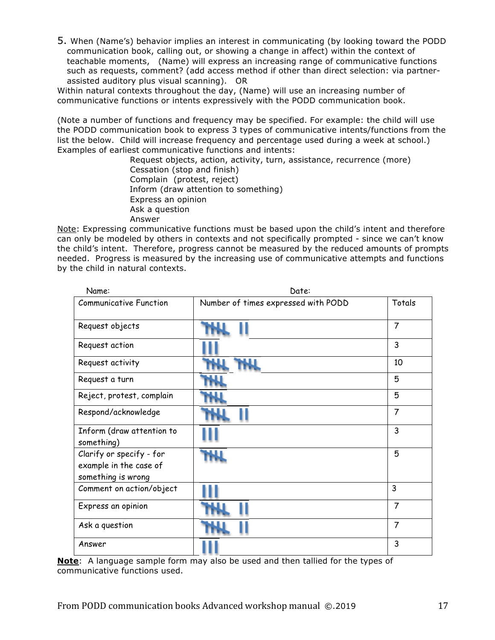5. When (Name's) behavior implies an interest in communicating (by looking toward the PODD communication book, calling out, or showing a change in affect) within the context of teachable moments, (Name) will express an increasing range of communicative functions such as requests, comment? (add access method if other than direct selection: via partnerassisted auditory plus visual scanning). OR

Within natural contexts throughout the day, (Name) will use an increasing number of communicative functions or intents expressively with the PODD communication book.

(Note a number of functions and frequency may be specified. For example: the child will use the PODD communication book to express 3 types of communicative intents/functions from the list the below. Child will increase frequency and percentage used during a week at school.) Examples of earliest communicative functions and intents:

> Request objects, action, activity, turn, assistance, recurrence (more) Cessation (stop and finish) Complain (protest, reject) Inform (draw attention to something) Express an opinion Ask a question Answer

Note: Expressing communicative functions must be based upon the child's intent and therefore can only be modeled by others in contexts and not specifically prompted - since we can't know the child's intent. Therefore, progress cannot be measured by the reduced amounts of prompts needed. Progress is measured by the increasing use of communicative attempts and functions by the child in natural contexts.

| Name:                                                                    | Date:                               |                |
|--------------------------------------------------------------------------|-------------------------------------|----------------|
| <b>Communicative Function</b>                                            | Number of times expressed with PODD | Totals         |
| Request objects                                                          |                                     | $\overline{7}$ |
| Request action                                                           |                                     | 3              |
| Request activity                                                         |                                     | 10             |
| Request a turn                                                           |                                     | 5              |
| Reject, protest, complain                                                |                                     | 5              |
| Respond/acknowledge                                                      |                                     | $\overline{7}$ |
| Inform (draw attention to<br>something)                                  |                                     | 3              |
| Clarify or specify - for<br>example in the case of<br>something is wrong |                                     | 5              |
| Comment on action/object                                                 |                                     | 3              |
| Express an opinion                                                       |                                     | $\overline{7}$ |
| Ask a question                                                           |                                     | $\overline{7}$ |
| Answer                                                                   |                                     | 3              |

**Note**: A language sample form may also be used and then tallied for the types of communicative functions used.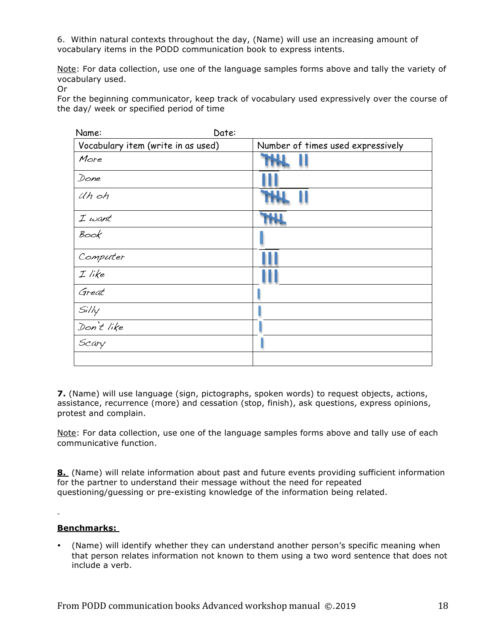6. Within natural contexts throughout the day, (Name) will use an increasing amount of vocabulary items in the PODD communication book to express intents.

Note: For data collection, use one of the language samples forms above and tally the variety of vocabulary used.

Or

For the beginning communicator, keep track of vocabulary used expressively over the course of the day/ week or specified period of time

| Name:                              | Date:                             |
|------------------------------------|-----------------------------------|
| Vocabulary item (write in as used) | Number of times used expressively |
| More                               |                                   |
| Done                               |                                   |
| Uh oh                              |                                   |
| $I$ want                           |                                   |
| Book                               |                                   |
| Computer                           |                                   |
| $I$ like                           |                                   |
| Great                              |                                   |
| Si/ly                              |                                   |
| Don't like                         |                                   |
| Scary                              |                                   |
|                                    |                                   |

**7.** (Name) will use language (sign, pictographs, spoken words) to request objects, actions, assistance, recurrence (more) and cessation (stop, finish), ask questions, express opinions, protest and complain.

Note: For data collection, use one of the language samples forms above and tally use of each communicative function.

**8.** (Name) will relate information about past and future events providing sufficient information for the partner to understand their message without the need for repeated questioning/guessing or pre-existing knowledge of the information being related.

### **Benchmarks:**

• (Name) will identify whether they can understand another person's specific meaning when that person relates information not known to them using a two word sentence that does not include a verb.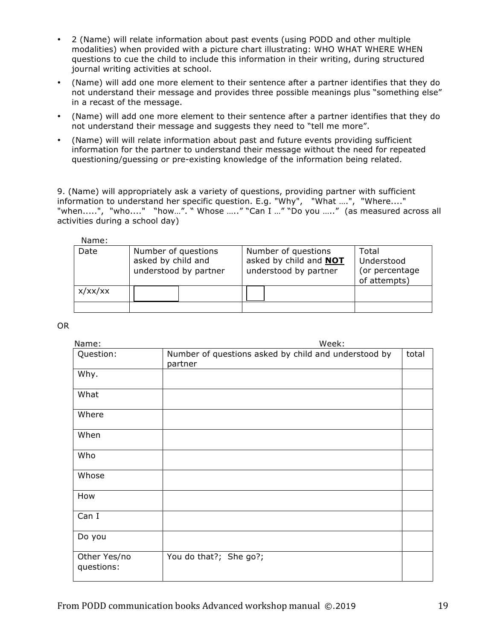- 2 (Name) will relate information about past events (using PODD and other multiple modalities) when provided with a picture chart illustrating: WHO WHAT WHERE WHEN questions to cue the child to include this information in their writing, during structured journal writing activities at school.
- (Name) will add one more element to their sentence after a partner identifies that they do not understand their message and provides three possible meanings plus "something else" in a recast of the message.
- (Name) will add one more element to their sentence after a partner identifies that they do not understand their message and suggests they need to "tell me more".
- (Name) will will relate information about past and future events providing sufficient information for the partner to understand their message without the need for repeated questioning/guessing or pre-existing knowledge of the information being related.

9. (Name) will appropriately ask a variety of questions, providing partner with sufficient information to understand her specific question. E.g. "Why", "What ….", "Where...." "when.....", "who...." "how…". " Whose ….." "Can I …" "Do you ….." (as measured across all activities during a school day)

|         | asked by child and<br>understood by partner | asked by child and <b>NOT</b><br>understood by partner | Understood<br>(or percentage<br>of attempts) |
|---------|---------------------------------------------|--------------------------------------------------------|----------------------------------------------|
| x/xx/xx |                                             |                                                        |                                              |

OR

| Name:                      | Week:                                                           |       |  |  |
|----------------------------|-----------------------------------------------------------------|-------|--|--|
| Question:                  | Number of questions asked by child and understood by<br>partner | total |  |  |
| Why.                       |                                                                 |       |  |  |
| What                       |                                                                 |       |  |  |
| Where                      |                                                                 |       |  |  |
| When                       |                                                                 |       |  |  |
| Who                        |                                                                 |       |  |  |
| Whose                      |                                                                 |       |  |  |
| How                        |                                                                 |       |  |  |
| Can I                      |                                                                 |       |  |  |
| Do you                     |                                                                 |       |  |  |
| Other Yes/no<br>questions: | You do that?; She go?;                                          |       |  |  |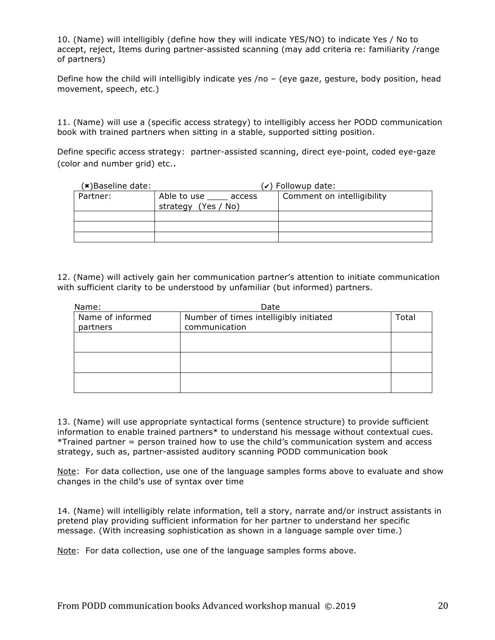10. (Name) will intelligibly (define how they will indicate YES/NO) to indicate Yes / No to accept, reject, Items during partner-assisted scanning (may add criteria re: familiarity /range of partners)

Define how the child will intelligibly indicate yes /no – (eye gaze, gesture, body position, head movement, speech, etc.)

11. (Name) will use a (specific access strategy) to intelligibly access her PODD communication book with trained partners when sitting in a stable, supported sitting position.

Define specific access strategy: partner-assisted scanning, direct eye-point, coded eye-gaze (color and number grid) etc..

| $(x)$ Baseline date: |                       | (✓) Followup date:         |
|----------------------|-----------------------|----------------------------|
| Partner:             | Able to use<br>access | Comment on intelligibility |
|                      | strategy (Yes / No)   |                            |
|                      |                       |                            |
|                      |                       |                            |
|                      |                       |                            |

12. (Name) will actively gain her communication partner's attention to initiate communication with sufficient clarity to be understood by unfamiliar (but informed) partners.

| Name:            | Date                                   |       |
|------------------|----------------------------------------|-------|
| Name of informed | Number of times intelligibly initiated | Total |
| partners         | communication                          |       |
|                  |                                        |       |
|                  |                                        |       |
|                  |                                        |       |
|                  |                                        |       |
|                  |                                        |       |
|                  |                                        |       |

13. (Name) will use appropriate syntactical forms (sentence structure) to provide sufficient information to enable trained partners\* to understand his message without contextual cues. \*Trained partner = person trained how to use the child's communication system and access strategy, such as, partner-assisted auditory scanning PODD communication book

Note: For data collection, use one of the language samples forms above to evaluate and show changes in the child's use of syntax over time

14. (Name) will intelligibly relate information, tell a story, narrate and/or instruct assistants in pretend play providing sufficient information for her partner to understand her specific message. (With increasing sophistication as shown in a language sample over time.)

Note: For data collection, use one of the language samples forms above.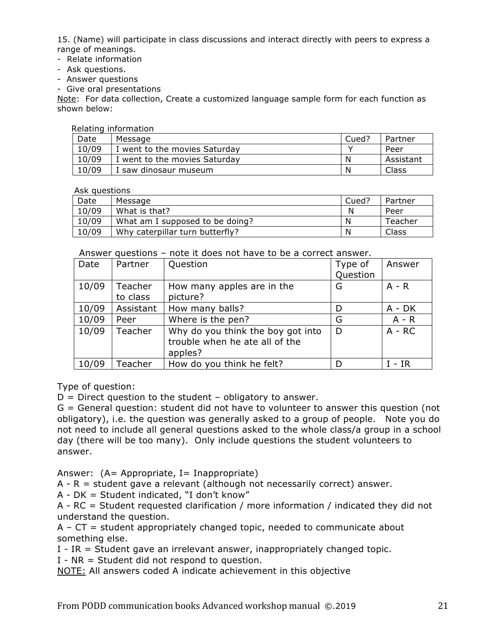15. (Name) will participate in class discussions and interact directly with peers to express a range of meanings.

- Relate information
- Ask questions.
- Answer questions
- Give oral presentations

Note: For data collection, Create a customized language sample form for each function as shown below:

Relating information

| Date  | Message                       | Cued? | Partner   |
|-------|-------------------------------|-------|-----------|
| 10/09 | I went to the movies Saturday |       | Peer      |
| 10/09 | I went to the movies Saturday | N     | Assistant |
| 10/09 | I saw dinosaur museum         | N     | Class     |

Ask questions

| Date  | Message                         | Cued? | Partner |
|-------|---------------------------------|-------|---------|
| 10/09 | What is that?                   | N     | Peer    |
| 10/09 | What am I supposed to be doing? | N     | Teacher |
| 10/09 | Why caterpillar turn butterfly? | N     | Class   |

Answer questions – note it does not have to be a correct answer.

| Date  | Partner             | Question                                                                       | Type of<br>Question | Answer   |
|-------|---------------------|--------------------------------------------------------------------------------|---------------------|----------|
| 10/09 | Teacher<br>to class | How many apples are in the<br>picture?                                         | G                   | $A - R$  |
| 10/09 | Assistant           | How many balls?                                                                | D                   | $A - DK$ |
| 10/09 | Peer                | Where is the pen?                                                              | G                   | $A - R$  |
| 10/09 | Teacher             | Why do you think the boy got into<br>trouble when he ate all of the<br>apples? | D                   | $A - RC$ |
| 10/09 | Teacher             | How do you think he felt?                                                      | D                   | $I - IR$ |

Type of question:

 $D =$  Direct question to the student – obligatory to answer.

G = General question: student did not have to volunteer to answer this question (not obligatory), i.e. the question was generally asked to a group of people. Note you do not need to include all general questions asked to the whole class/a group in a school day (there will be too many). Only include questions the student volunteers to answer.

Answer:  $(A= Appropriate, I= Inappropriate)$ 

 $A - R$  = student gave a relevant (although not necessarily correct) answer.

A - DK = Student indicated, "I don't know"

A - RC = Student requested clarification / more information / indicated they did not understand the question.

 $A - CT = student appropriately changed topic, needed to communicate about$ something else.

I - IR = Student gave an irrelevant answer, inappropriately changed topic.

I - NR = Student did not respond to question.

NOTE: All answers coded A indicate achievement in this objective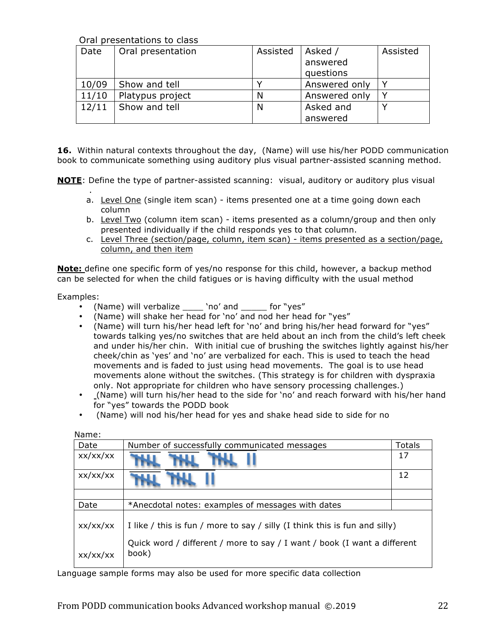Oral presentations to class

| Date  | Oral presentation | Assisted | Asked /       | Assisted     |
|-------|-------------------|----------|---------------|--------------|
|       |                   |          | answered      |              |
|       |                   |          | questions     |              |
| 10/09 | Show and tell     |          | Answered only | $\checkmark$ |
| 11/10 | Platypus project  | N        | Answered only |              |
| 12/11 | Show and tell     | N        | Asked and     |              |
|       |                   |          | answered      |              |

**16.** Within natural contexts throughout the day, (Name) will use his/her PODD communication book to communicate something using auditory plus visual partner-assisted scanning method.

**NOTE**: Define the type of partner-assisted scanning: visual, auditory or auditory plus visual

- . a. Level One (single item scan) - items presented one at a time going down each column
- b. Level Two (column item scan) items presented as a column/group and then only presented individually if the child responds yes to that column.
- c. Level Three (section/page, column, item scan) items presented as a section/page, column, and then item

**Note:** define one specific form of yes/no response for this child, however, a backup method can be selected for when the child fatigues or is having difficulty with the usual method

Examples:

- (Name) will verbalize \_\_\_\_ 'no' and \_\_\_\_\_ for "yes"
- (Name) will shake her head for 'no' and nod her head for "yes"
- (Name) will turn his/her head left for 'no' and bring his/her head forward for "yes" towards talking yes/no switches that are held about an inch from the child's left cheek and under his/her chin. With initial cue of brushing the switches lightly against his/her cheek/chin as 'yes' and 'no' are verbalized for each. This is used to teach the head movements and is faded to just using head movements. The goal is to use head movements alone without the switches. (This strategy is for children with dyspraxia only. Not appropriate for children who have sensory processing challenges.)
- (Name) will turn his/her head to the side for 'no' and reach forward with his/her hand for "yes" towards the PODD book
- (Name) will nod his/her head for yes and shake head side to side for no

| .        |                                                                                   |               |  |
|----------|-----------------------------------------------------------------------------------|---------------|--|
| Date     | Number of successfully communicated messages                                      | <b>Totals</b> |  |
| xx/xx/xx |                                                                                   | 17            |  |
| xx/xx/xx |                                                                                   | 12            |  |
|          |                                                                                   |               |  |
| Date     | *Anecdotal notes: examples of messages with dates                                 |               |  |
| xx/xx/xx | I like / this is fun / more to say / silly (I think this is fun and silly)        |               |  |
| xx/xx/xx | Quick word / different / more to say / I want / book (I want a different<br>book) |               |  |

Name:

Language sample forms may also be used for more specific data collection